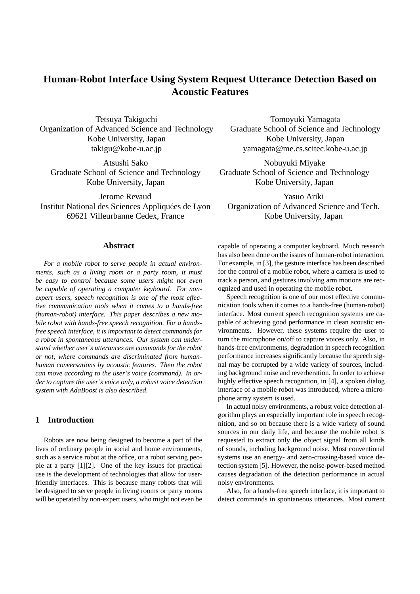# **Human-Robot Interface Using System Request Utterance Detection Based on Acoustic Features**

Tetsuya Takiguchi Organization of Advanced Science and Technology Kobe University, Japan takigu@kobe-u.ac.jp

Atsushi Sako Graduate School of Science and Technology Kobe University, Japan

Jerome Revaud Institut National des Sciences Appliquées de Lyon 69621 Villeurbanne Cedex, France

#### **Abstract**

*For a mobile robot to serve people in actual environments, such as a living room or a party room, it must be easy to control because some users might not even be capable of operating a computer keyboard. For nonexpert users, speech recognition is one of the most effective communication tools when it comes to a hands-free (human-robot) interface. This paper describes a new mobile robot with hands-free speech recognition. For a handsfree speech interface, it is important to detect commands for a robot in spontaneous utterances. Our system can understand whether user's utterances are commands for the robot or not, where commands are discriminated from humanhuman conversations by acoustic features. Then the robot can move according to the user's voice (command). In order to capture the user's voice only, a robust voice detection system with AdaBoost is also described.*

### **1 Introduction**

Robots are now being designed to become a part of the lives of ordinary people in social and home environments, such as a service robot at the office, or a robot serving people at a party [1][2]. One of the key issues for practical use is the development of technologies that allow for userfriendly interfaces. This is because many robots that will be designed to serve people in living rooms or party rooms will be operated by non-expert users, who might not even be

Tomoyuki Yamagata Graduate School of Science and Technology Kobe University, Japan yamagata@me.cs.scitec.kobe-u.ac.jp

Nobuyuki Miyake Graduate School of Science and Technology Kobe University, Japan

Yasuo Ariki Organization of Advanced Science and Tech. Kobe University, Japan

capable of operating a computer keyboard. Much research has also been done on the issues of human-robot interaction. For example, in [3], the gesture interface has been described for the control of a mobile robot, where a camera is used to track a person, and gestures involving arm motions are recognized and used in operating the mobile robot.

Speech recognition is one of our most effective communication tools when it comes to a hands-free (human-robot) interface. Most current speech recognition systems are capable of achieving good performance in clean acoustic environments. However, these systems require the user to turn the microphone on/off to capture voices only. Also, in hands-free environments, degradation in speech recognition performance increases significantly because the speech signal may be corrupted by a wide variety of sources, including background noise and reverberation. In order to achieve highly effective speech recognition, in [4], a spoken dialog interface of a mobile robot was introduced, where a microphone array system is used.

In actual noisy environments, a robust voice detection algorithm plays an especially important role in speech recognition, and so on because there is a wide variety of sound sources in our daily life, and because the mobile robot is requested to extract only the object signal from all kinds of sounds, including background noise. Most conventional systems use an energy- and zero-crossing-based voice detection system [5]. However, the noise-power-based method causes degradation of the detection performance in actual noisy environments.

Also, for a hands-free speech interface, it is important to detect commands in spontaneous utterances. Most current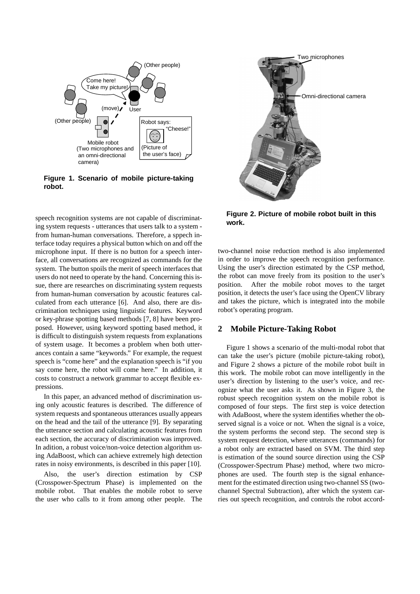

**Figure 1. Scenario of mobile picture-taking robot.**

speech recognition systems are not capable of discriminating system requests - utterances that users talk to a system from human-human conversations. Therefore, a sppech interface today requires a physical button which on and off the microphone input. If there is no button for a speech interface, all conversations are recognized as commands for the system. The button spoils the merit of speech interfaces that users do not need to operate by the hand. Concerning this issue, there are researches on discriminating system requests from human-human conversation by acoustic features calculated from each utterance [6]. And also, there are discrimination techniques using linguistic features. Keyword or key-phrase spotting based methods [7, 8] have been proposed. However, using keyword spotting based method, it is difficult to distinguish system requests from explanations of system usage. It becomes a problem when both utterances contain a same "keywords." For example, the request speech is "come here" and the explanation speech is "if you say come here, the robot will come here." In addition, it costs to construct a network grammar to accept flexible expressions.

In this paper, an advanced method of discrimination using only acoustic features is described. The difference of system requests and spontaneous utterances usually appears on the head and the tail of the utterance [9]. By separating the utterance section and calculating acoustic features from each section, the accuracy of discrimination was improved. In adition, a robust voice/non-voice detection algorithm using AdaBoost, which can achieve extremely high detection rates in noisy environments, is described in this paper [10].

Also, the user's direction estimation by CSP (Crosspower-Spectrum Phase) is implemented on the mobile robot. That enables the mobile robot to serve the user who calls to it from among other people. The



**Figure 2. Picture of mobile robot built in this work.**

two-channel noise reduction method is also implemented in order to improve the speech recognition performance. Using the user's direction estimated by the CSP method, the robot can move freely from its position to the user's position. After the mobile robot moves to the target position, it detects the user's face using the OpenCV library and takes the picture, which is integrated into the mobile robot's operating program.

# **2 Mobile Picture-Taking Robot**

Figure 1 shows a scenario of the multi-modal robot that can take the user's picture (mobile picture-taking robot), and Figure 2 shows a picture of the mobile robot built in this work. The mobile robot can move intelligently in the user's direction by listening to the user's voice, and recognize what the user asks it. As shown in Figure 3, the robust speech recognition system on the mobile robot is composed of four steps. The first step is voice detection with AdaBoost, where the system identifies whether the observed signal is a voice or not. When the signal is a voice, the system performs the second step. The second step is system request detection, where utterances (commands) for a robot only are extracted based on SVM. The third step is estimation of the sound source direction using the CSP (Crosspower-Spectrum Phase) method, where two microphones are used. The fourth step is the signal enhancement for the estimated direction using two-channel SS (twochannel Spectral Subtraction), after which the system carries out speech recognition, and controls the robot accord-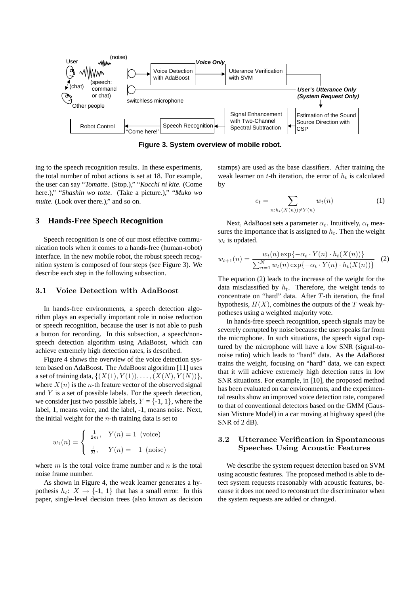

**Figure 3. System overview of mobile robot.**

ing to the speech recognition results. In these experiments, the total number of robot actions is set at 18. For example, the user can say "*Tomatte*. (Stop.)," "*Kocchi ni kite*. (Come here.)," "*Shashin wo totte*. (Take a picture.)," "*Muko wo muite*. (Look over there.)," and so on.

#### **3 Hands-Free Speech Recognition**

Speech recognition is one of our most effective communication tools when it comes to a hands-free (human-robot) interface. In the new mobile robot, the robust speech recognition system is composed of four steps (see Figure 3). We describe each step in the following subsection.

#### 3.1 Voice Detection with AdaBoost

In hands-free environments, a speech detection algorithm plays an especially important role in noise reduction or speech recognition, because the user is not able to push a button for recording. In this subsection, a speech/nonspeech detection algorithm using AdaBoost, which can achieve extremely high detection rates, is described.

Figure 4 shows the overview of the voice detection system based on AdaBoost. The AdaBoost algorithm [11] uses a set of training data,  $\{(X(1), Y(1)), \ldots, (X(N), Y(N))\},\$ where  $X(n)$  is the *n*-th feature vector of the observed signal and Y is a set of possible labels. For the speech detection, we consider just two possible labels,  $Y = \{-1, 1\}$ , where the label, 1, means voice, and the label, -1, means noise. Next, the initial weight for the  $n$ -th training data is set to

$$
w_1(n) = \begin{cases} \frac{1}{2m}, & Y(n) = 1 \text{ (voice)} \\ \frac{1}{2l}, & Y(n) = -1 \text{ (noise)} \end{cases}
$$

where  $m$  is the total voice frame number and  $n$  is the total noise frame number.

As shown in Figure 4, the weak learner generates a hypothesis  $h_t: X \to \{-1, 1\}$  that has a small error. In this paper, single-level decision trees (also known as decision stamps) are used as the base classifiers. After training the weak learner on t-th iteration, the error of  $h_t$  is calculated by

$$
e_t = \sum_{n:h_t(X(n)) \neq Y(n)} w_t(n)
$$
 (1)

Next, AdaBoost sets a parameter  $\alpha_t$ . Intuitively,  $\alpha_t$  measures the importance that is assigned to  $h_t$ . Then the weight  $w_t$  is updated.

$$
w_{t+1}(n) = \frac{w_t(n) \exp\{-\alpha_t \cdot Y(n) \cdot h_t(X(n))\}}{\sum_{n=1}^N w_t(n) \exp\{-\alpha_t \cdot Y(n) \cdot h_t(X(n))\}}
$$
(2)

The equation (2) leads to the increase of the weight for the data misclassified by  $h_t$ . Therefore, the weight tends to concentrate on "hard" data. After T-th iteration, the final hypothesis,  $H(X)$ , combines the outputs of the T weak hypotheses using a weighted majority vote.

In hands-free speech recognition, speech signals may be severely corrupted by noise because the user speaks far from the microphone. In such situations, the speech signal captured by the microphone will have a low SNR (signal-tonoise ratio) which leads to "hard" data. As the AdaBoost trains the weight, focusing on "hard" data, we can expect that it will achieve extremely high detection rates in low SNR situations. For example, in [10], the proposed method has been evaluated on car environments, and the experimental results show an improved voice detection rate, compared to that of conventional detectors based on the GMM (Gaussian Mixture Model) in a car moving at highway speed (the SNR of 2 dB).

## 3.2 Utterance Verification in Spontaneous Speeches Using Acoustic Features

We describe the system request detection based on SVM using acoustic features. The proposed method is able to detect system requests reasonably with acoustic features, because it does not need to reconstruct the discriminator when the system requests are added or changed.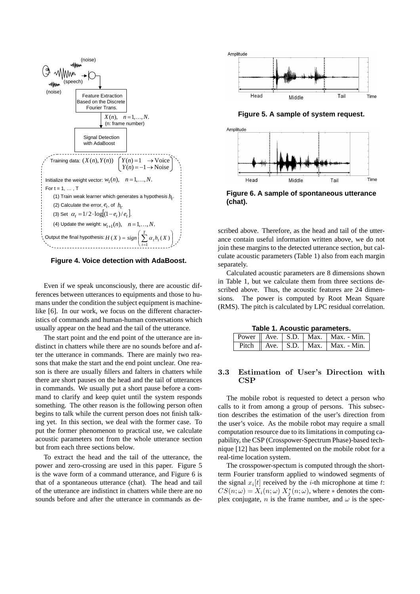

**Figure 4. Voice detection with AdaBoost.**

Even if we speak unconsciously, there are acoustic differences between utterances to equipments and those to humans under the condition the subject equipment is machinelike [6]. In our work, we focus on the different characteristics of commands and human-human conversations which usually appear on the head and the tail of the utterance.

The start point and the end point of the utterance are indistinct in chatters while there are no sounds before and after the utterance in commands. There are mainly two reasons that make the start and the end point unclear. One reason is there are usually fillers and falters in chatters while there are short pauses on the head and the tail of utterances in commands. We usually put a short pause before a command to clarify and keep quiet until the system responds something. The other reason is the following person often begins to talk while the current person does not finish talking yet. In this section, we deal with the former case. To put the former phenomenon to practical use, we calculate acoustic parameters not from the whole utterance section but from each three sections below.

To extract the head and the tail of the utterance, the power and zero-crossing are used in this paper. Figure 5 is the wave form of a command utterance, and Figure 6 is that of a spontaneous utterance (chat). The head and tail of the utterance are indistinct in chatters while there are no sounds before and after the utterance in commands as de-



**Figure 5. A sample of system request.**



**Figure 6. A sample of spontaneous utterance (chat).**

scribed above. Therefore, as the head and tail of the utterance contain useful information written above, we do not join these margins to the detected utterance section, but calculate acoustic parameters (Table 1) also from each margin separately.

Calculated acoustic parameters are 8 dimensions shown in Table 1, but we calculate them from three sections described above. Thus, the acoustic features are 24 dimensions. The power is computed by Root Mean Square (RMS). The pitch is calculated by LPC residual correlation.

**Table 1. Acoustic parameters.**

|  |  | Power   Ave. S.D. Max. Max. - Min.                                               |
|--|--|----------------------------------------------------------------------------------|
|  |  | Pitch $\parallel$ Ave. $\parallel$ S.D. $\parallel$ Max. $\parallel$ Max. - Min. |

#### 3.3 Estimation of User's Direction with **CSP**

The mobile robot is requested to detect a person who calls to it from among a group of persons. This subsection describes the estimation of the user's direction from the user's voice. As the mobile robot may require a small computation resource due to its limitations in computing capability, the CSP (Crosspower-Spectrum Phase)-based technique [12] has been implemented on the mobile robot for a real-time location system.

The crosspower-spectum is computed through the shortterm Fourier transform applied to windowed segments of the signal  $x_i[t]$  received by the *i*-th microphone at time *t*:  $CS(n; \omega) = X_i(n; \omega) X_j^*(n; \omega)$ , where  $*$  denotes the complex conjugate, *n* is the frame number, and  $\omega$  is the spec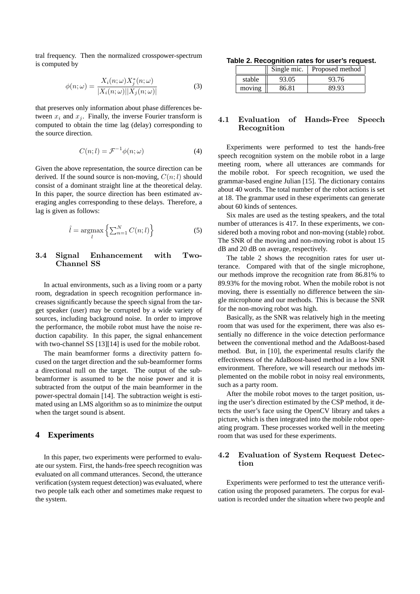tral frequency. Then the normalized crosspower-spectrum is computed by

$$
\phi(n; \omega) = \frac{X_i(n; \omega) X_j^*(n; \omega)}{|X_i(n; \omega)||X_j(n; \omega)|}
$$
\n(3)

that preserves only information about phase differences between  $x_i$  and  $x_j$ . Finally, the inverse Fourier transform is computed to obtain the time lag (delay) corresponding to the source direction.

$$
C(n;l) = \mathcal{F}^{-1}\phi(n;\omega)
$$
 (4)

Given the above representation, the source direction can be derived. If the sound source is non-moving,  $C(n; l)$  should consist of a dominant straight line at the theoretical delay. In this paper, the source direction has been estimated averaging angles corresponding to these delays. Therefore, a lag is given as follows:

$$
\hat{l} = \underset{l}{\operatorname{argmax}} \left\{ \sum_{n=1}^{N} C(n; l) \right\} \tag{5}
$$

#### 3.4 Signal Enhancement with Two-Channel SS

In actual environments, such as a living room or a party room, degradation in speech recognition performance increases significantly because the speech signal from the target speaker (user) may be corrupted by a wide variety of sources, including background noise. In order to improve the performance, the mobile robot must have the noise reduction capability. In this paper, the signal enhancement with two-channel SS [13][14] is used for the mobile robot.

The main beamformer forms a directivity pattern focused on the target direction and the sub-beamformer forms a directional null on the target. The output of the subbeamformer is assumed to be the noise power and it is subtracted from the output of the main beamformer in the power-spectral domain [14]. The subtraction weight is estimated using an LMS algorithm so as to minimize the output when the target sound is absent.

#### **4 Experiments**

In this paper, two experiments were performed to evaluate our system. First, the hands-free speech recognition was evaluated on all command utterances. Second, the utterance verification (system request detection) was evaluated, where two people talk each other and sometimes make request to the system.

**Table 2. Recognition rates for user's request.**

|        | Single mic. | Proposed method |  |
|--------|-------------|-----------------|--|
| stable | 93.05       | 93.76           |  |
| moving | 86.81       | 89.93           |  |

#### 4.1 Evaluation of Hands-Free Speech Recognition

Experiments were performed to test the hands-free speech recognition system on the mobile robot in a large meeting room, where all utterances are commands for the mobile robot. For speech recognition, we used the grammar-based engine Julian [15]. The dictionary contains about 40 words. The total number of the robot actions is set at 18. The grammar used in these experiments can generate about 60 kinds of sentences.

Six males are used as the testing speakers, and the total number of utterances is 417. In these experiments, we considered both a moving robot and non-moving (stable) robot. The SNR of the moving and non-moving robot is about 15 dB and 20 dB on average, respectively.

The table 2 shows the recognition rates for user utterance. Compared with that of the single microphone, our methods improve the recognition rate from 86.81% to 89.93% for the moving robot. When the mobile robot is not moving, there is essentially no difference between the single microphone and our methods. This is because the SNR for the non-moving robot was high.

Basically, as the SNR was relatively high in the meeting room that was used for the experiment, there was also essentially no difference in the voice detection performance between the conventional method and the AdaBoost-based method. But, in [10], the experimental results clarify the effectiveness of the AdaBoost-based method in a low SNR environment. Therefore, we will research our methods implemented on the mobile robot in noisy real environments, such as a party room.

After the mobile robot moves to the target position, using the user's direction estimated by the CSP method, it detects the user's face using the OpenCV library and takes a picture, which is then integrated into the mobile robot operating program. These processes worked well in the meeting room that was used for these experiments.

#### 4.2 Evaluation of System Request Detection

Experiments were performed to test the utterance verification using the proposed parameters. The corpus for evaluation is recorded under the situation where two people and